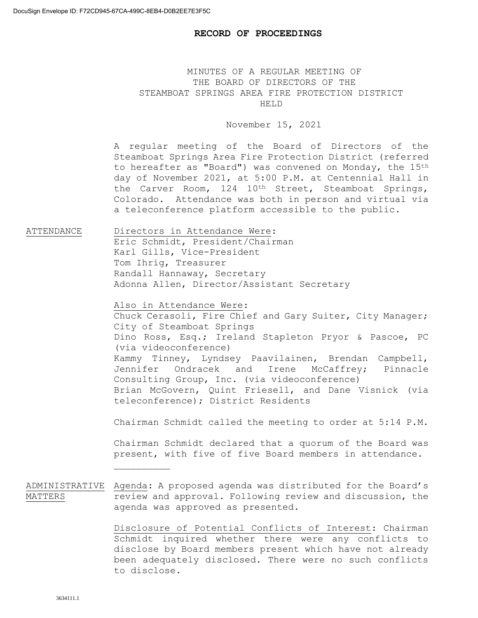## **RECORD OF PROCEEDINGS**

## MINUTES OF A REGULAR MEETING OF THE BOARD OF DIRECTORS OF THE STEAMBOAT SPRINGS AREA FIRE PROTECTION DISTRICT HELD

## November 15, 2021

A regular meeting of the Board of Directors of the Steamboat Springs Area Fire Protection District (referred to hereafter as "Board") was convened on Monday, the 15th day of November 2021, at 5:00 P.M. at Centennial Hall in the Carver Room, 124 10th Street, Steamboat Springs, Colorado. Attendance was both in person and virtual via a teleconference platform accessible to the public.

ATTENDANCE Directors in Attendance Were: Eric Schmidt, President/Chairman Karl Gills, Vice-President Tom Ihrig, Treasurer Randall Hannaway, Secretary Adonna Allen, Director/Assistant Secretary

> Also in Attendance Were: Chuck Cerasoli, Fire Chief and Gary Suiter, City Manager; City of Steamboat Springs Dino Ross, Esq.; Ireland Stapleton Pryor & Pascoe, PC (via videoconference) Kammy Tinney, Lyndsey Paavilainen, Brendan Campbell, Jennifer Ondracek and Irene McCaffrey; Pinnacle Consulting Group, Inc. (via videoconference) Brian McGovern, Quint Friesell, and Dane Visnick (via teleconference); District Residents

> Chairman Schmidt called the meeting to order at 5:14 P.M.

Chairman Schmidt declared that a quorum of the Board was present, with five of five Board members in attendance.

ADMINISTRATIVE Agenda: A proposed agenda was distributed for the Board's MATTERS review and approval. Following review and discussion, the agenda was approved as presented.

> Disclosure of Potential Conflicts of Interest: Chairman Schmidt inquired whether there were any conflicts to disclose by Board members present which have not already been adequately disclosed. There were no such conflicts to disclose.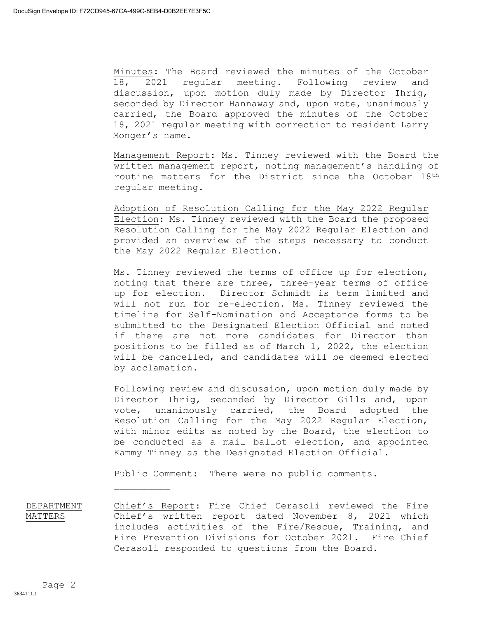Minutes: The Board reviewed the minutes of the October 18, 2021 regular meeting. Following review and discussion, upon motion duly made by Director Ihrig, seconded by Director Hannaway and, upon vote, unanimously carried, the Board approved the minutes of the October 18, 2021 regular meeting with correction to resident Larry Monger's name.

Management Report: Ms. Tinney reviewed with the Board the written management report, noting management's handling of routine matters for the District since the October 18th regular meeting.

Adoption of Resolution Calling for the May 2022 Regular Election: Ms. Tinney reviewed with the Board the proposed Resolution Calling for the May 2022 Regular Election and provided an overview of the steps necessary to conduct the May 2022 Regular Election.

Ms. Tinney reviewed the terms of office up for election, noting that there are three, three-year terms of office up for election. Director Schmidt is term limited and will not run for re-election. Ms. Tinney reviewed the timeline for Self-Nomination and Acceptance forms to be submitted to the Designated Election Official and noted if there are not more candidates for Director than positions to be filled as of March 1, 2022, the election will be cancelled, and candidates will be deemed elected by acclamation.

Following review and discussion, upon motion duly made by Director Ihrig, seconded by Director Gills and, upon vote, unanimously carried, the Board adopted the Resolution Calling for the May 2022 Regular Election, with minor edits as noted by the Board, the election to be conducted as a mail ballot election, and appointed Kammy Tinney as the Designated Election Official.

Public Comment: There were no public comments.

DEPARTMENT MATTERS Chief's Report: Fire Chief Cerasoli reviewed the Fire Chief's written report dated November 8, 2021 which includes activities of the Fire/Rescue, Training, and Fire Prevention Divisions for October 2021. Fire Chief Cerasoli responded to questions from the Board.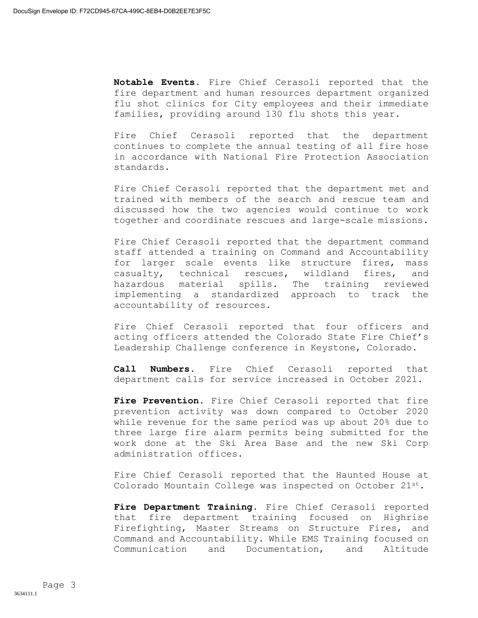**Notable Events.** Fire Chief Cerasoli reported that the fire department and human resources department organized flu shot clinics for City employees and their immediate families, providing around 130 flu shots this year.

Fire Chief Cerasoli reported that the department continues to complete the annual testing of all fire hose in accordance with National Fire Protection Association standards.

Fire Chief Cerasoli reported that the department met and trained with members of the search and rescue team and discussed how the two agencies would continue to work together and coordinate rescues and large-scale missions.

Fire Chief Cerasoli reported that the department command staff attended a training on Command and Accountability for larger scale events like structure fires, mass casualty, technical rescues, wildland fires, and hazardous material spills. The training reviewed implementing a standardized approach to track the accountability of resources.

Fire Chief Cerasoli reported that four officers and acting officers attended the Colorado State Fire Chief's Leadership Challenge conference in Keystone, Colorado.

**Call Numbers.** Fire Chief Cerasoli reported that department calls for service increased in October 2021.

**Fire Prevention.** Fire Chief Cerasoli reported that fire prevention activity was down compared to October 2020 while revenue for the same period was up about 20% due to three large fire alarm permits being submitted for the work done at the Ski Area Base and the new Ski Corp administration offices.

Fire Chief Cerasoli reported that the Haunted House at Colorado Mountain College was inspected on October 21st.

**Fire Department Training.** Fire Chief Cerasoli reported that fire department training focused on Highrise Firefighting, Master Streams on Structure Fires, and Command and Accountability. While EMS Training focused on Communication and Documentation, and Altitude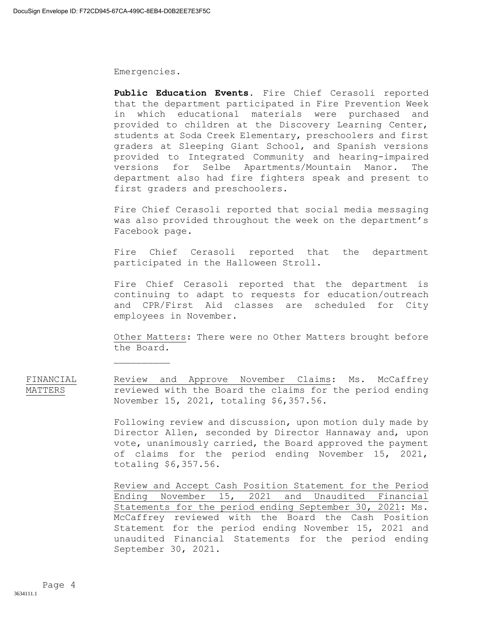Emergencies.

**Public Education Events.** Fire Chief Cerasoli reported that the department participated in Fire Prevention Week in which educational materials were purchased and provided to children at the Discovery Learning Center, students at Soda Creek Elementary, preschoolers and first graders at Sleeping Giant School, and Spanish versions provided to Integrated Community and hearing-impaired versions for Selbe Apartments/Mountain Manor. The department also had fire fighters speak and present to first graders and preschoolers.

Fire Chief Cerasoli reported that social media messaging was also provided throughout the week on the department's Facebook page.

Fire Chief Cerasoli reported that the department participated in the Halloween Stroll.

Fire Chief Cerasoli reported that the department is continuing to adapt to requests for education/outreach and CPR/First Aid classes are scheduled for City employees in November.

Other Matters: There were no Other Matters brought before the Board.

FINANCIAL MATTERS Review and Approve November Claims: Ms. McCaffrey reviewed with the Board the claims for the period ending November 15, 2021, totaling \$6,357.56.

> Following review and discussion, upon motion duly made by Director Allen, seconded by Director Hannaway and, upon vote, unanimously carried, the Board approved the payment of claims for the period ending November 15, 2021, totaling \$6,357.56.

> Review and Accept Cash Position Statement for the Period Ending November 15, 2021 and Unaudited Financial Statements for the period ending September 30, 2021: Ms. McCaffrey reviewed with the Board the Cash Position Statement for the period ending November 15, 2021 and unaudited Financial Statements for the period ending September 30, 2021.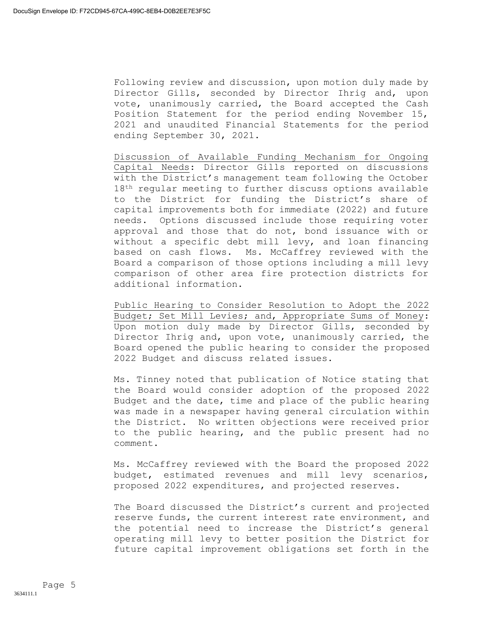Following review and discussion, upon motion duly made by Director Gills, seconded by Director Ihrig and, upon vote, unanimously carried, the Board accepted the Cash Position Statement for the period ending November 15, 2021 and unaudited Financial Statements for the period ending September 30, 2021.

Discussion of Available Funding Mechanism for Ongoing Capital Needs: Director Gills reported on discussions with the District's management team following the October 18<sup>th</sup> regular meeting to further discuss options available to the District for funding the District's share of capital improvements both for immediate (2022) and future needs. Options discussed include those requiring voter approval and those that do not, bond issuance with or without a specific debt mill levy, and loan financing based on cash flows. Ms. McCaffrey reviewed with the Board a comparison of those options including a mill levy comparison of other area fire protection districts for additional information.

Public Hearing to Consider Resolution to Adopt the 2022 Budget; Set Mill Levies; and, Appropriate Sums of Money: Upon motion duly made by Director Gills, seconded by Director Ihrig and, upon vote, unanimously carried, the Board opened the public hearing to consider the proposed 2022 Budget and discuss related issues.

Ms. Tinney noted that publication of Notice stating that the Board would consider adoption of the proposed 2022 Budget and the date, time and place of the public hearing was made in a newspaper having general circulation within the District. No written objections were received prior to the public hearing, and the public present had no comment.

Ms. McCaffrey reviewed with the Board the proposed 2022 budget, estimated revenues and mill levy scenarios, proposed 2022 expenditures, and projected reserves.

The Board discussed the District's current and projected reserve funds, the current interest rate environment, and the potential need to increase the District's general operating mill levy to better position the District for future capital improvement obligations set forth in the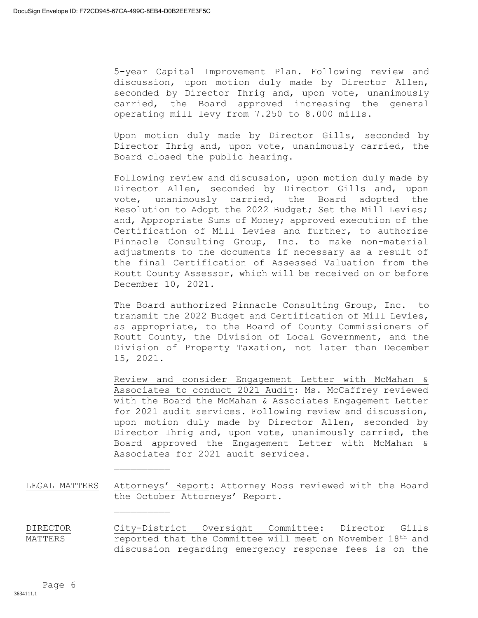5-year Capital Improvement Plan. Following review and discussion, upon motion duly made by Director Allen, seconded by Director Ihrig and, upon vote, unanimously carried, the Board approved increasing the general operating mill levy from 7.250 to 8.000 mills.

Upon motion duly made by Director Gills, seconded by Director Ihrig and, upon vote, unanimously carried, the Board closed the public hearing.

Following review and discussion, upon motion duly made by Director Allen, seconded by Director Gills and, upon vote, unanimously carried, the Board adopted the Resolution to Adopt the 2022 Budget; Set the Mill Levies; and, Appropriate Sums of Money; approved execution of the Certification of Mill Levies and further, to authorize Pinnacle Consulting Group, Inc. to make non-material adjustments to the documents if necessary as a result of the final Certification of Assessed Valuation from the Routt County Assessor, which will be received on or before December 10, 2021.

The Board authorized Pinnacle Consulting Group, Inc. to transmit the 2022 Budget and Certification of Mill Levies, as appropriate, to the Board of County Commissioners of Routt County, the Division of Local Government, and the Division of Property Taxation, not later than December 15, 2021.

Review and consider Engagement Letter with McMahan & Associates to conduct 2021 Audit: Ms. McCaffrey reviewed with the Board the McMahan & Associates Engagement Letter for 2021 audit services. Following review and discussion, upon motion duly made by Director Allen, seconded by Director Ihrig and, upon vote, unanimously carried, the Board approved the Engagement Letter with McMahan & Associates for 2021 audit services.

LEGAL MATTERS Attorneys' Report: Attorney Ross reviewed with the Board the October Attorneys' Report.

DIRECTOR MATTERS City-District Oversight Committee: Director Gills reported that the Committee will meet on November 18th and discussion regarding emergency response fees is on the